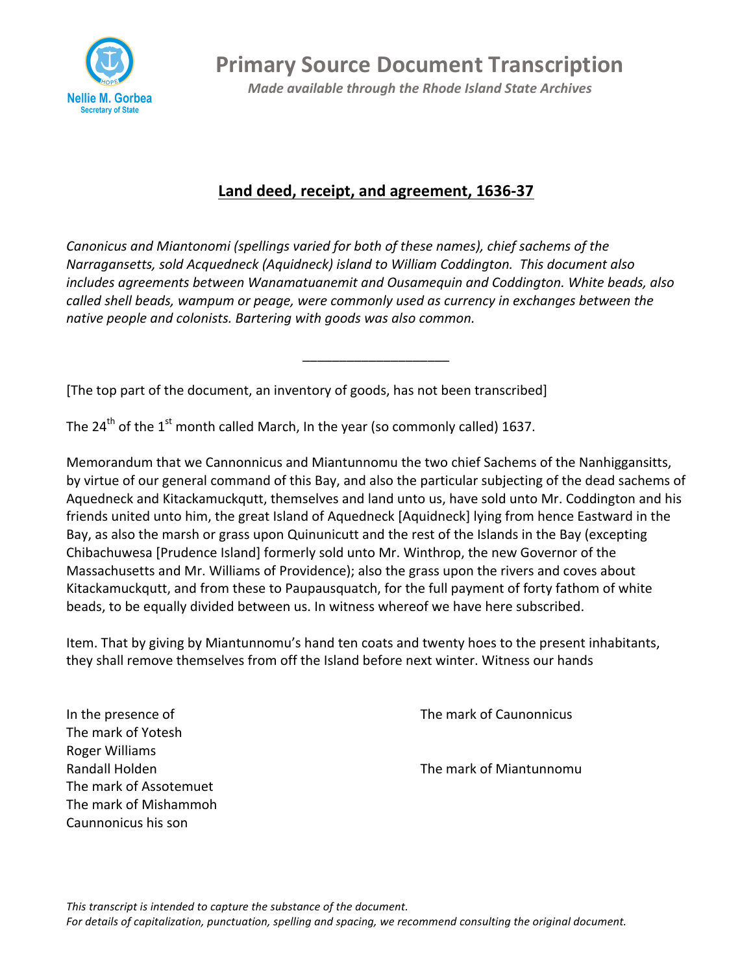

**Primary Source Document Transcription** 

*Made available through the Rhode Island State Archives* 

## Land deed, receipt, and agreement, 1636-37

*Canonicus and Miantonomi (spellings varied for both of these names), chief sachems of the Narragansetts, sold Acquedneck (Aquidneck) island to William Coddington. This document also includes agreements between Wanamatuanemit and Ousamequin and Coddington. White beads, also called* shell beads, wampum or peage, were commonly used as currency in exchanges between the native people and colonists. Bartering with goods was also common.

\_\_\_\_\_\_\_\_\_\_\_\_\_\_\_\_\_\_\_\_

[The top part of the document, an inventory of goods, has not been transcribed]

The  $24^{th}$  of the  $1^{st}$  month called March, In the year (so commonly called) 1637.

Memorandum that we Cannonnicus and Miantunnomu the two chief Sachems of the Nanhiggansitts, by virtue of our general command of this Bay, and also the particular subjecting of the dead sachems of Aquedneck and Kitackamuckqutt, themselves and land unto us, have sold unto Mr. Coddington and his friends united unto him, the great Island of Aquedneck [Aquidneck] lying from hence Eastward in the Bay, as also the marsh or grass upon Quinunicutt and the rest of the Islands in the Bay (excepting Chibachuwesa [Prudence Island] formerly sold unto Mr. Winthrop, the new Governor of the Massachusetts and Mr. Williams of Providence); also the grass upon the rivers and coves about Kitackamuckqutt, and from these to Paupausquatch, for the full payment of forty fathom of white beads, to be equally divided between us. In witness whereof we have here subscribed.

Item. That by giving by Miantunnomu's hand ten coats and twenty hoes to the present inhabitants, they shall remove themselves from off the Island before next winter. Witness our hands

The mark of Yotesh Roger Williams The mark of Assotemuet The mark of Mishammoh Caunnonicus his son

In the presence of The mark of Caunonnicus

Randall Holden The mark of Miantunnomu